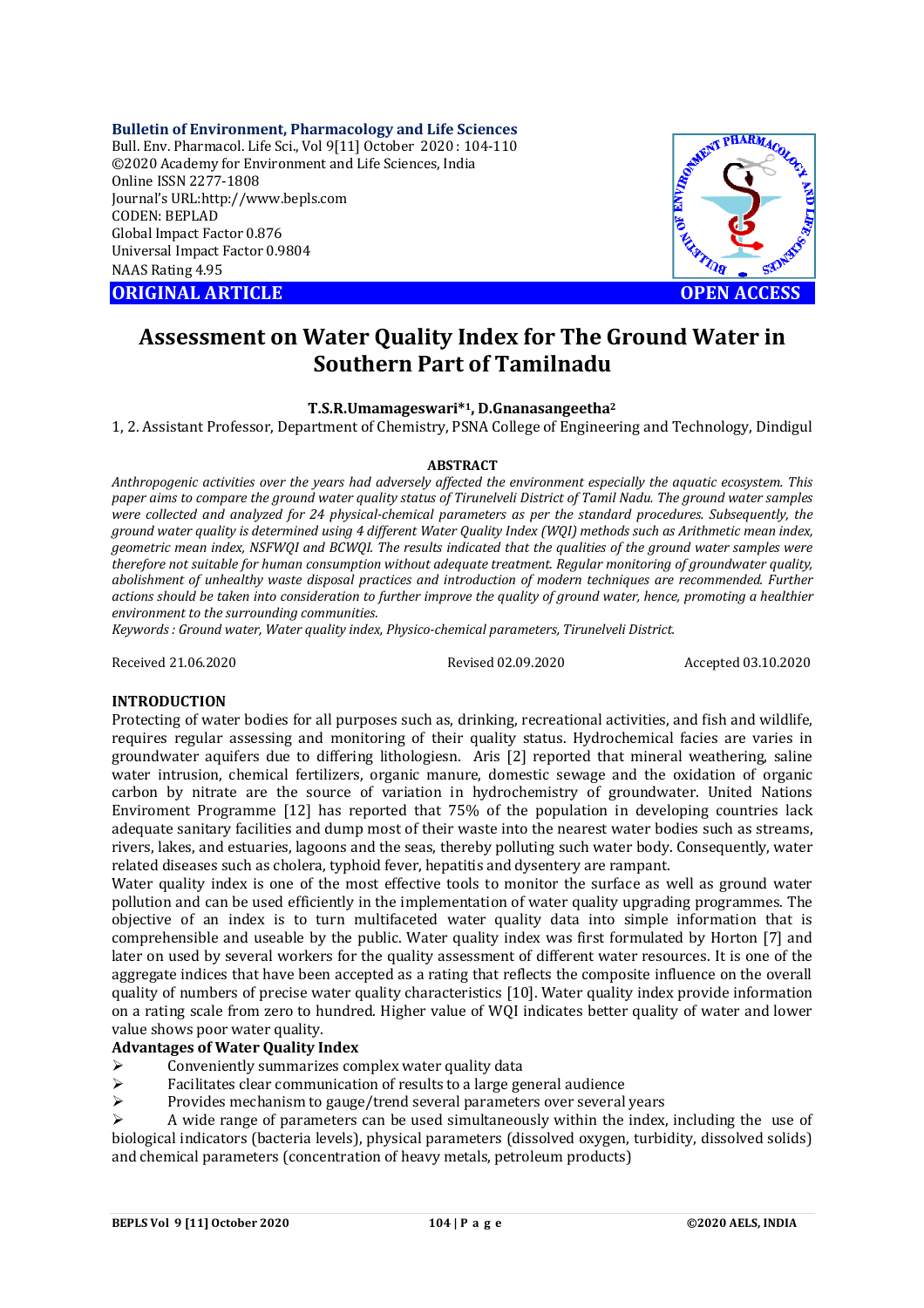**Bulletin of Environment, Pharmacology and Life Sciences** Bull. Env. Pharmacol. Life Sci., Vol 9[11] October 2020 : 104-110 ©2020 Academy for Environment and Life Sciences, India Online ISSN 2277-1808 Journal's URL:<http://www.bepls.com> CODEN: BEPLAD Global Impact Factor 0.876 Universal Impact Factor 0.9804 NAAS Rating 4.95

**ORIGINAL ARTICLE OPEN ACCESS**



# **Assessment on Water Quality Index for The Ground Water in Southern Part of Tamilnadu**

## **T.S.R.Umamageswari\*1, D.Gnanasangeetha<sup>2</sup>**

1, 2. Assistant Professor, Department of Chemistry, PSNA College of Engineering and Technology, Dindigul

#### **ABSTRACT**

*Anthropogenic activities over the years had adversely affected the environment especially the aquatic ecosystem. This paper aims to compare the ground water quality status of Tirunelveli District of Tamil Nadu. The ground water samples were collected and analyzed for 24 physical-chemical parameters as per the standard procedures. Subsequently, the ground water quality is determined using 4 different Water Quality Index (WQI) methods such as Arithmetic mean index, geometric mean index, NSFWQI and BCWQI. The results indicated that the qualities of the ground water samples were therefore not suitable for human consumption without adequate treatment. Regular monitoring of groundwater quality, abolishment of unhealthy waste disposal practices and introduction of modern techniques are recommended. Further actions should be taken into consideration to further improve the quality of ground water, hence, promoting a healthier environment to the surrounding communities.*

*Keywords : Ground water, Water quality index, Physico-chemical parameters, Tirunelveli District.* 

Received 21.06.2020 Revised 02.09.2020 Accepted 03.10.2020

#### **INTRODUCTION**

Protecting of water bodies for all purposes such as, drinking, recreational activities, and fish and wildlife, requires regular assessing and monitoring of their quality status. Hydrochemical facies are varies in groundwater aquifers due to differing lithologiesn. Aris [2] reported that mineral weathering, saline water intrusion, chemical fertilizers, organic manure, domestic sewage and the oxidation of organic carbon by nitrate are the source of variation in hydrochemistry of groundwater. United Nations Enviroment Programme [12] has reported that 75% of the population in developing countries lack adequate sanitary facilities and dump most of their waste into the nearest water bodies such as streams, rivers, lakes, and estuaries, lagoons and the seas, thereby polluting such water body. Consequently, water related diseases such as cholera, typhoid fever, hepatitis and dysentery are rampant.

Water quality index is one of the most effective tools to monitor the surface as well as ground water pollution and can be used efficiently in the implementation of water quality upgrading programmes. The objective of an index is to turn multifaceted water quality data into simple information that is comprehensible and useable by the public. Water quality index was first formulated by Horton [7] and later on used by several workers for the quality assessment of different water resources. It is one of the aggregate indices that have been accepted as a rating that reflects the composite influence on the overall quality of numbers of precise water quality characteristics [10]. Water quality index provide information on a rating scale from zero to hundred. Higher value of WQI indicates better quality of water and lower value shows poor water quality.

# **Advantages of Water Quality Index**

- $\geq$  Conveniently summarizes complex water quality data<br> $\geq$  Eacilitates clear communication of results to a large ge
- $\triangleright$  Facilitates clear communication of results to a large general audience<br> $\triangleright$  Provides mechanism to gauge/trend several parameters over several
- Provides mechanism to gauge/trend several parameters over several years

 A wide range of parameters can be used simultaneously within the index, including the use of biological indicators (bacteria levels), physical parameters (dissolved oxygen, turbidity, dissolved solids) and chemical parameters (concentration of heavy metals, petroleum products)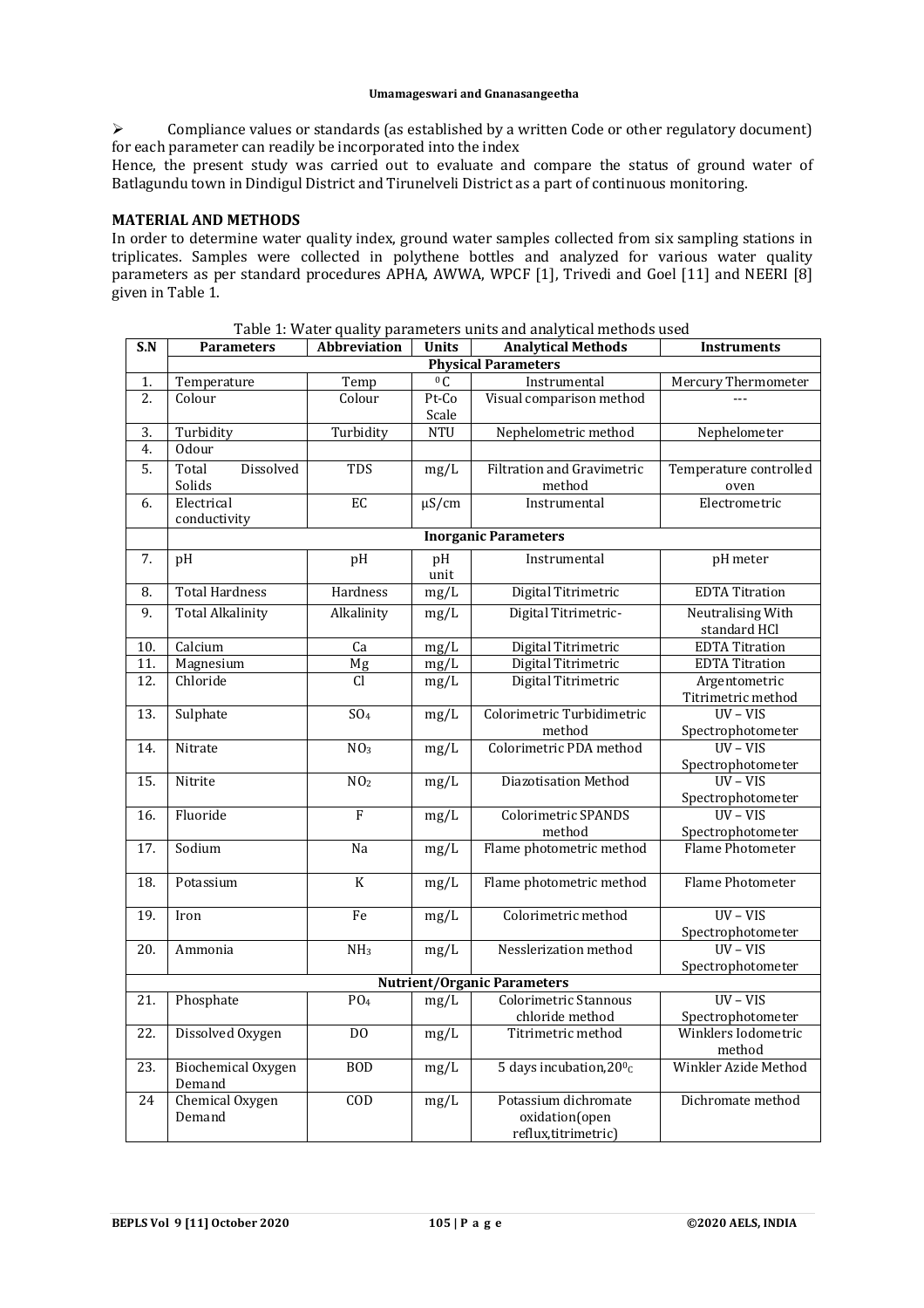$\triangleright$  Compliance values or standards (as established by a written Code or other regulatory document) for each parameter can readily be incorporated into the index

Hence, the present study was carried out to evaluate and compare the status of ground water of Batlagundu town in Dindigul District and Tirunelveli District as a part of continuous monitoring.

### **MATERIAL AND METHODS**

In order to determine water quality index, ground water samples collected from six sampling stations in triplicates. Samples were collected in polythene bottles and analyzed for various water quality parameters as per standard procedures APHA, AWWA, WPCF [1], Trivedi and Goel [11] and NEERI [8] given in Table 1.

| S.N                                | <b>Parameters</b>                   | <b>Abbreviation</b> | <b>Units</b> | <b>Analytical Methods</b>                   | <b>Instruments</b>              |  |
|------------------------------------|-------------------------------------|---------------------|--------------|---------------------------------------------|---------------------------------|--|
| <b>Physical Parameters</b>         |                                     |                     |              |                                             |                                 |  |
| 1.                                 | Temperature                         | Temp                | 0C           | Instrumental                                | Mercury Thermometer             |  |
| 2.                                 | Colour                              | Colour              | Pt-Co        | Visual comparison method                    |                                 |  |
|                                    |                                     |                     | Scale        |                                             |                                 |  |
| 3.                                 | Turbidity                           | Turbidity           | <b>NTU</b>   | Nephelometric method                        | Nephelometer                    |  |
| 4.                                 | <b>Odour</b>                        |                     |              |                                             |                                 |  |
| 5.                                 | Dissolved<br>Total<br>Solids        | TDS                 | mg/L         | <b>Filtration and Gravimetric</b><br>method | Temperature controlled<br>oven  |  |
| 6.                                 | Electrical<br>conductivity          | EC.                 | $\mu$ S/cm   | Instrumental                                | Electrometric                   |  |
|                                    | <b>Inorganic Parameters</b>         |                     |              |                                             |                                 |  |
| 7.                                 | pH                                  | pH                  | pH           | Instrumental                                | pH meter                        |  |
|                                    |                                     |                     | unit         |                                             |                                 |  |
| 8.                                 | <b>Total Hardness</b>               | Hardness            | mg/L         | Digital Titrimetric                         | <b>EDTA</b> Titration           |  |
| 9.                                 | <b>Total Alkalinity</b>             | Alkalinity          | mg/L         | Digital Titrimetric-                        | Neutralising With               |  |
|                                    |                                     |                     |              |                                             | standard HCl                    |  |
| 10.                                | Calcium                             | $\overline{Ca}$     | mg/L         | Digital Titrimetric                         | <b>EDTA</b> Titration           |  |
| 11.                                | Magnesium                           | Mg                  | mg/L         | Digital Titrimetric                         | <b>EDTA Titration</b>           |  |
| 12.                                | Chloride                            | C <sub>1</sub>      | mg/L         | Digital Titrimetric                         | Argentometric                   |  |
|                                    |                                     |                     |              |                                             | Titrimetric method              |  |
| 13.                                | Sulphate                            | SO <sub>4</sub>     | mg/L         | Colorimetric Turbidimetric                  | $UV - VIS$                      |  |
|                                    |                                     |                     |              | method                                      | Spectrophotometer               |  |
| 14.                                | Nitrate                             | NO <sub>3</sub>     | mg/L         | Colorimetric PDA method                     | $UV - VIS$                      |  |
|                                    |                                     |                     |              |                                             | Spectrophotometer<br>$UV - VIS$ |  |
| 15.                                | Nitrite                             | NO <sub>2</sub>     | mg/L         | Diazotisation Method                        |                                 |  |
| 16.                                | Fluoride                            | $\overline{F}$      | mg/L         | Colorimetric SPANDS                         | Spectrophotometer<br>$UV - VIS$ |  |
|                                    |                                     |                     |              | method                                      | Spectrophotometer               |  |
| 17.                                | Sodium                              | Na                  | mg/L         | Flame photometric method                    | Flame Photometer                |  |
|                                    |                                     |                     |              |                                             |                                 |  |
| $\overline{18}$ .                  | Potassium                           | K                   | mg/L         | Flame photometric method                    | Flame Photometer                |  |
| 19.                                | Iron                                | Fe                  | mg/L         | Colorimetric method                         | $UV - VIS$                      |  |
|                                    |                                     |                     |              |                                             | Spectrophotometer               |  |
| 20.                                | Ammonia                             | NH <sub>3</sub>     | mg/L         | Nesslerization method                       | $UV - VIS$                      |  |
|                                    |                                     |                     |              |                                             | Spectrophotometer               |  |
| <b>Nutrient/Organic Parameters</b> |                                     |                     |              |                                             |                                 |  |
| 21.                                | Phosphate                           | PO <sub>4</sub>     | mg/L         | Colorimetric Stannous                       | $UV - VIS$                      |  |
|                                    |                                     |                     |              | chloride method                             | Spectrophotometer               |  |
| 22.                                | Dissolved Oxygen                    | D <sub>O</sub>      | mg/L         | Titrimetric method                          | Winklers Iodometric             |  |
|                                    |                                     |                     |              |                                             | method                          |  |
| $\overline{23}$ .                  | <b>Biochemical Oxygen</b><br>Demand | <b>BOD</b>          | mg/L         | 5 days incubation, 20 <sup>o</sup> c        | Winkler Azide Method            |  |
| 24                                 | Chemical Oxygen                     | COD                 | mg/L         | Potassium dichromate                        | Dichromate method               |  |
|                                    | Demand                              |                     |              | oxidation(open                              |                                 |  |
|                                    |                                     |                     |              | reflux, titrimetric)                        |                                 |  |

Table 1: Water quality parameters units and analytical methods used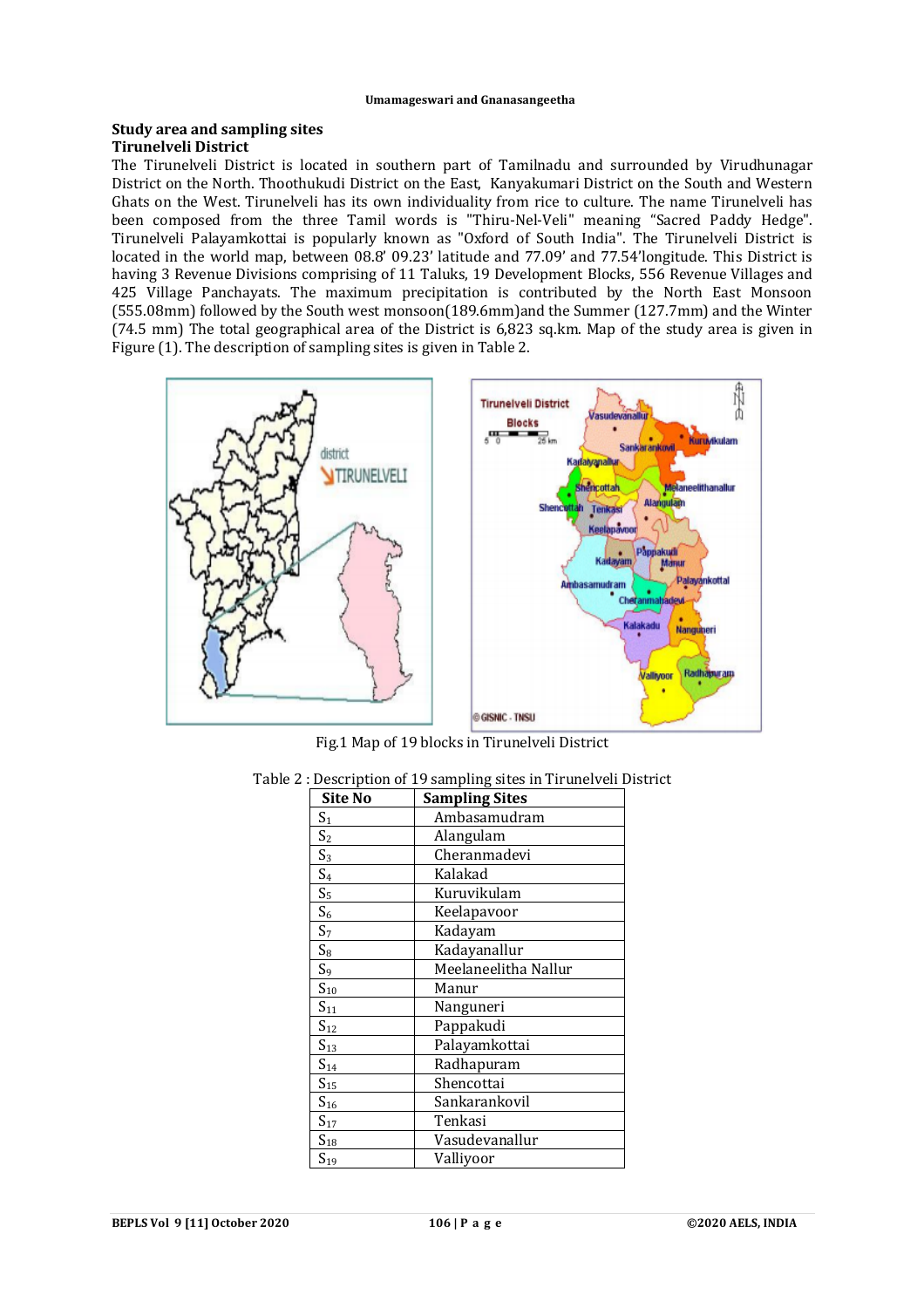#### **Study area and sampling sites Tirunelveli District**

The Tirunelveli District is located in southern part of Tamilnadu and surrounded by Virudhunagar District on the North. Thoothukudi District on the East, Kanyakumari District on the South and Western Ghats on the West. Tirunelveli has its own individuality from rice to culture. The name Tirunelveli has been composed from the three Tamil words is "Thiru-Nel-Veli" meaning "Sacred Paddy Hedge". Tirunelveli Palayamkottai is popularly known as "Oxford of South India". The Tirunelveli District is located in the world map, between 08.8' 09.23' latitude and 77.09' and 77.54'longitude. This District is having 3 Revenue Divisions comprising of 11 Taluks, 19 Development Blocks, 556 Revenue Villages and 425 Village Panchayats. The maximum precipitation is contributed by the North East Monsoon (555.08mm) followed by the South west monsoon(189.6mm)and the Summer (127.7mm) and the Winter (74.5 mm) The total geographical area of the District is 6,823 sq.km. Map of the study area is given in Figure (1). The description of sampling sites is given in Table 2.



Fig.1 Map of 19 blocks in Tirunelveli District

| Site No           | <b>Sampling Sites</b> |
|-------------------|-----------------------|
| S <sub>1</sub>    | Ambasamudram          |
| S <sub>2</sub>    | Alangulam             |
| $S_3$             | Cheranmadevi          |
| S <sub>4</sub>    | Kalakad               |
| $S_5$             | Kuruvikulam           |
| $S_6$             | Keelapavoor           |
| S <sub>7</sub>    | Kadayam               |
| $S_8$             | Kadayanallur          |
| $S_9$             | Meelaneelitha Nallur  |
| $S_{10}$          | Manur                 |
| $S_{11}$          | Nanguneri             |
| $S_{12}$          | Pappakudi             |
| $S_{13}$          | Palayamkottai         |
| $S_{14}$          | Radhapuram            |
| $S_{15}$          | Shencottai            |
| $S_{16}$          | Sankarankovil         |
| $S_{17}$          | Tenkasi               |
| $\mathrm{S}_{18}$ | Vasudevanallur        |
| $S_{19}$          | Valliyoor             |

Table 2 : Description of 19 sampling sites in Tirunelveli District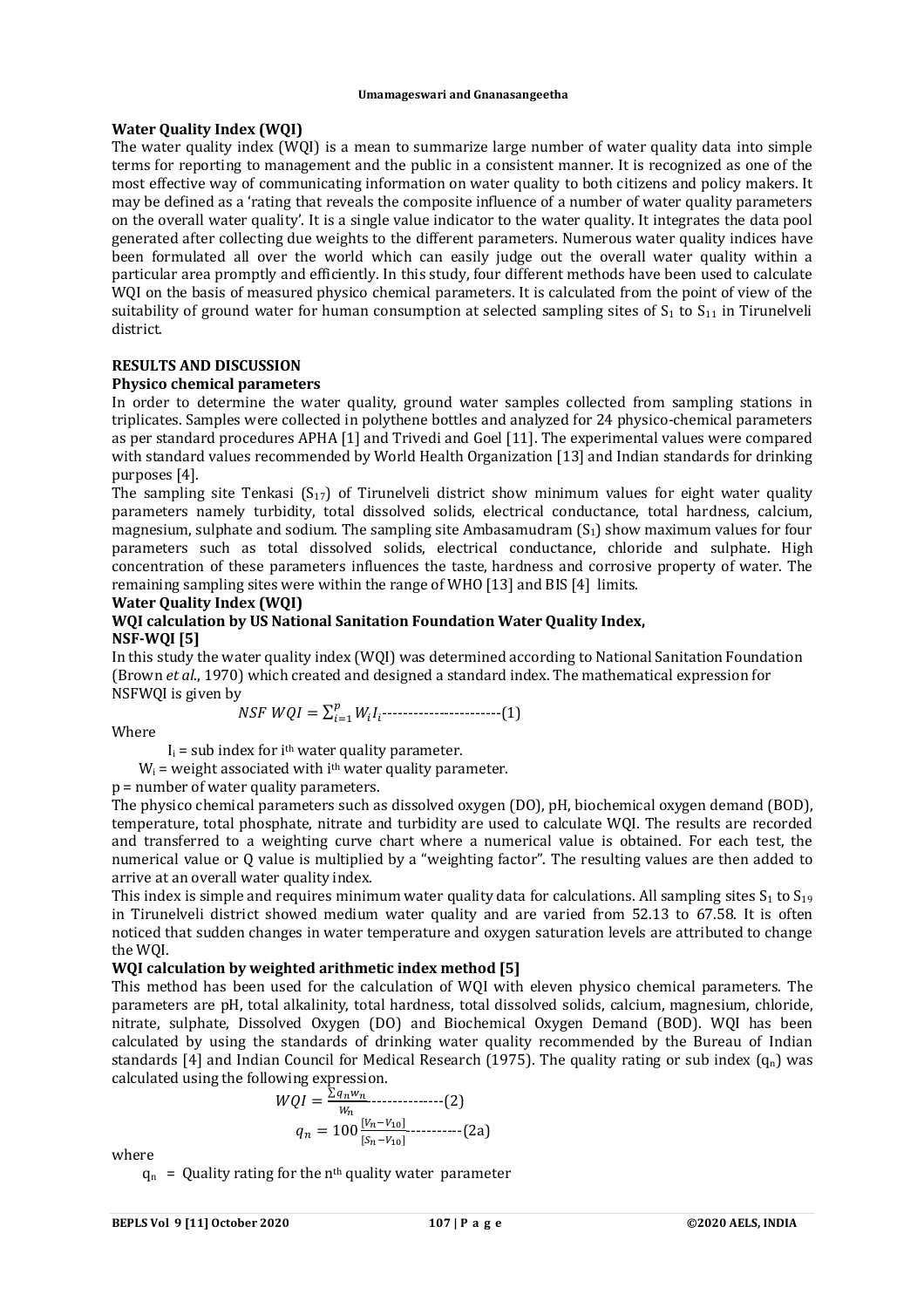## **Water Quality Index (WQI)**

The water quality index (WQI) is a mean to summarize large number of water quality data into simple terms for reporting to management and the public in a consistent manner. It is recognized as one of the most effective way of communicating information on water quality to both citizens and policy makers. It may be defined as a 'rating that reveals the composite influence of a number of water quality parameters on the overall water quality'. It is a single value indicator to the water quality. It integrates the data pool generated after collecting due weights to the different parameters. Numerous water quality indices have been formulated all over the world which can easily judge out the overall water quality within a particular area promptly and efficiently. In this study, four different methods have been used to calculate WQI on the basis of measured physico chemical parameters. It is calculated from the point of view of the suitability of ground water for human consumption at selected sampling sites of  $S_1$  to  $S_{11}$  in Tirunelveli district.

# **RESULTS AND DISCUSSION**

## **Physico chemical parameters**

In order to determine the water quality, ground water samples collected from sampling stations in triplicates. Samples were collected in polythene bottles and analyzed for 24 physico-chemical parameters as per standard procedures APHA [1] and Trivedi and Goel [11]. The experimental values were compared with standard values recommended by World Health Organization [13] and Indian standards for drinking purposes [4].

The sampling site Tenkasi  $(S_{17})$  of Tirunelveli district show minimum values for eight water quality parameters namely turbidity, total dissolved solids, electrical conductance, total hardness, calcium, magnesium, sulphate and sodium. The sampling site Ambasamudram  $(S_1)$  show maximum values for four parameters such as total dissolved solids, electrical conductance, chloride and sulphate. High concentration of these parameters influences the taste, hardness and corrosive property of water. The remaining sampling sites were within the range of WHO [13] and BIS [4] limits.

# **Water Quality Index (WQI)**

#### **WQI calculation by US National Sanitation Foundation Water Quality Index, NSF-WQI [5]**

In this study the water quality index (WQI) was determined according to National Sanitation Foundation (Brown *et al*., 1970) which created and designed a standard index. The mathematical expression for NSFWQI is given by

 $NSF WQI = \sum_{i=1}^{p} W_i I_i$  $\sum_{i=1}^{p} W_i I_i$ -------------------------(1)

Where

 $I_i$  = sub index for i<sup>th</sup> water quality parameter.

 $W_i$  = weight associated with i<sup>th</sup> water quality parameter.

## p = number of water quality parameters.

The physico chemical parameters such as dissolved oxygen (DO), pH, biochemical oxygen demand (BOD), temperature, total phosphate, nitrate and turbidity are used to calculate WQI. The results are recorded and transferred to a weighting curve chart where a numerical value is obtained. For each test, the numerical value or Q value is multiplied by a "weighting factor". The resulting values are then added to arrive at an overall water quality index.

This index is simple and requires minimum water quality data for calculations. All sampling sites  $S_1$  to  $S_{19}$ in Tirunelveli district showed medium water quality and are varied from 52.13 to 67.58. It is often noticed that sudden changes in water temperature and oxygen saturation levels are attributed to change the WQI.

## **WQI calculation by weighted arithmetic index method [5]**

This method has been used for the calculation of WQI with eleven physico chemical parameters. The parameters are pH, total alkalinity, total hardness, total dissolved solids, calcium, magnesium, chloride, nitrate, sulphate, Dissolved Oxygen (DO) and Biochemical Oxygen Demand (BOD). WQI has been calculated by using the standards of drinking water quality recommended by the Bureau of Indian standards [4] and Indian Council for Medical Research (1975). The quality rating or sub index  $(q_n)$  was calculated using the following expression.

$$
WQI = \frac{\sum q_n w_n}{w_n} \tag{2}
$$
\n
$$
q_n = 100 \frac{[v_n - v_{10}]}{[s_n - v_{10}]} \tag{2a}
$$

where

 $q_n$  = Quality rating for the n<sup>th</sup> quality water parameter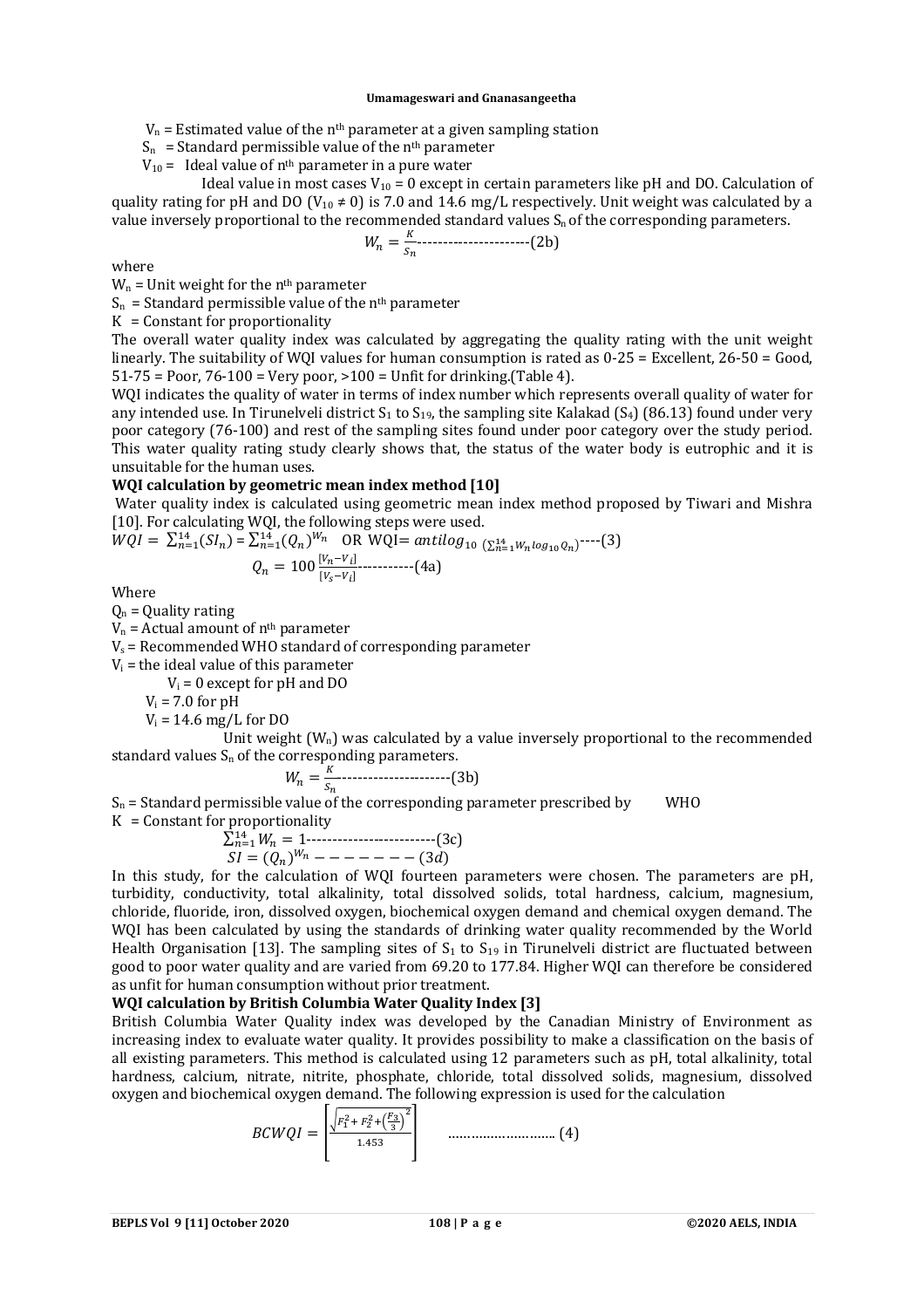$V_n$  = Estimated value of the n<sup>th</sup> parameter at a given sampling station

 $S_n$  = Standard permissible value of the n<sup>th</sup> parameter

 $V_{10}$  = Ideal value of n<sup>th</sup> parameter in a pure water

Ideal value in most cases  $V_{10} = 0$  except in certain parameters like pH and DO. Calculation of quality rating for pH and DO (V<sub>10</sub>  $\neq$  0) is 7.0 and 14.6 mg/L respectively. Unit weight was calculated by a value inversely proportional to the recommended standard values  $S_n$  of the corresponding parameters.

ܹ = ௌ ----------------------(2b)

where

 $W_n$  = Unit weight for the n<sup>th</sup> parameter

 $S_n$  = Standard permissible value of the n<sup>th</sup> parameter

 $K =$  Constant for proportionality

The overall water quality index was calculated by aggregating the quality rating with the unit weight linearly. The suitability of WQI values for human consumption is rated as 0-25 = Excellent, 26-50 = Good, 51-75 = Poor, 76-100 = Very poor, >100 = Unfit for drinking.(Table 4).

WQI indicates the quality of water in terms of index number which represents overall quality of water for any intended use. In Tirunelveli district  $S_1$  to  $S_{19}$ , the sampling site Kalakad ( $S_4$ ) (86.13) found under very poor category (76-100) and rest of the sampling sites found under poor category over the study period. This water quality rating study clearly shows that, the status of the water body is eutrophic and it is unsuitable for the human uses.

# **WQI calculation by geometric mean index method [10]**

Water quality index is calculated using geometric mean index method proposed by Tiwari and Mishra [10]. For calculating WQI, the following steps were used.

$$
WQI = \sum_{n=1}^{14} (SI_n) = \sum_{n=1}^{14} (Q_n)^{W_n} \quad \text{OR WQI} = antilog_{10} (\sum_{n=1}^{14} w_n log_{10} Q_n)^{\text{---}}(3)
$$

$$
Q_n = 100 \frac{[v_n - v_i]}{[v_s - v_i]} \quad \text{---} (4a)
$$

Where

 $Q_n$  = Quality rating

 $V_n$  = Actual amount of  $n<sup>th</sup>$  parameter

 $V_s$  = Recommended WHO standard of corresponding parameter

 $V_i$  = the ideal value of this parameter

 $V_i = 0$  except for pH and DO

 $V_i$  = 7.0 for pH

 $V_i = 14.6$  mg/L for DO

Unit weight  $(W_n)$  was calculated by a value inversely proportional to the recommended standard values  $S_n$  of the corresponding parameters.

$$
W_n = \frac{\kappa}{s_n} \tag{3b}
$$

 $S_n$  = Standard permissible value of the corresponding parameter prescribed by WHO  $K =$  Constant for proportionality

$$
\sum_{n=1}^{14} W_n = 1
$$
\n
$$
SI = (Q_n)^{W_n} - - - - - - - (3d)
$$

In this study, for the calculation of WQI fourteen parameters were chosen. The parameters are pH, turbidity, conductivity, total alkalinity, total dissolved solids, total hardness, calcium, magnesium, chloride, fluoride, iron, dissolved oxygen, biochemical oxygen demand and chemical oxygen demand. The WQI has been calculated by using the standards of drinking water quality recommended by the World Health Organisation [13]. The sampling sites of  $S_1$  to  $S_{19}$  in Tirunelveli district are fluctuated between good to poor water quality and are varied from 69.20 to 177.84. Higher WQI can therefore be considered as unfit for human consumption without prior treatment.

#### **WQI calculation by British Columbia Water Quality Index [3]**

British Columbia Water Quality index was developed by the Canadian Ministry of Environment as increasing index to evaluate water quality. It provides possibility to make a classification on the basis of all existing parameters. This method is calculated using 12 parameters such as pH, total alkalinity, total hardness, calcium, nitrate, nitrite, phosphate, chloride, total dissolved solids, magnesium, dissolved oxygen and biochemical oxygen demand. The following expression is used for the calculation

$$
BCWQI = \begin{bmatrix} \frac{\sqrt{F_1^2 + F_2^2 + \left(\frac{F_3}{3}\right)^2}}{1.453} & \dots & \dots & \dots & \dots & (4) \end{bmatrix}
$$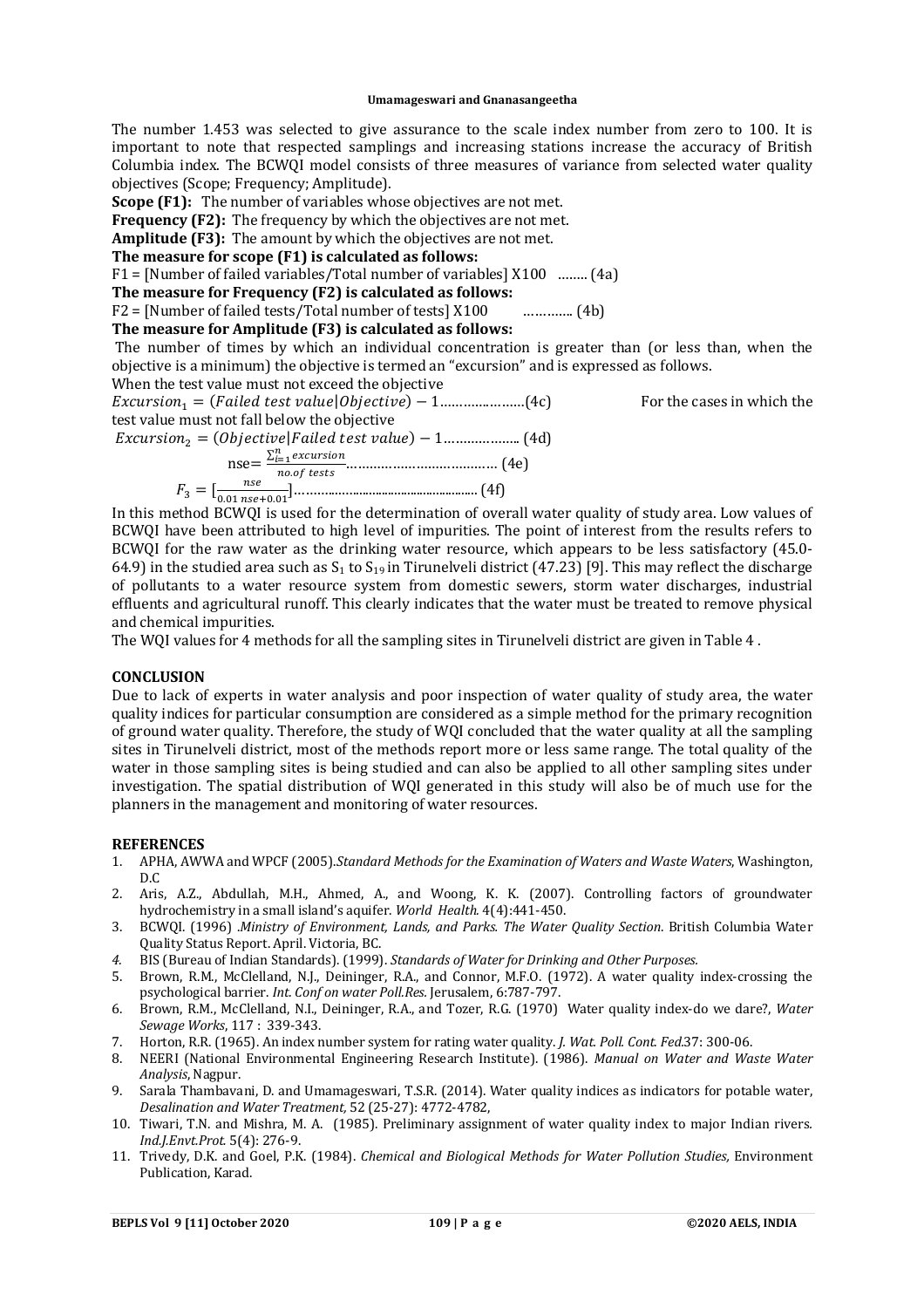The number 1.453 was selected to give assurance to the scale index number from zero to 100. It is important to note that respected samplings and increasing stations increase the accuracy of British Columbia index. The BCWQI model consists of three measures of variance from selected water quality objectives (Scope; Frequency; Amplitude).

**Scope (F1):** The number of variables whose objectives are not met.

**Frequency (F2):** The frequency by which the objectives are not met.

**Amplitude (F3):** The amount by which the objectives are not met.

#### **The measure for scope (F1) is calculated as follows:**

F1 = [Number of failed variables/Total number of variables] X100 …….. (4a)

# **The measure for Frequency (F2) is calculated as follows:**

F2 = [Number of failed tests/Total number of tests] X100 …………. (4b)

### **The measure for Amplitude (F3) is calculated as follows:**

The number of times by which an individual concentration is greater than (or less than, when the objective is a minimum) the objective is termed an "excursion" and is expressed as follows.

When the test value must not exceed the objective  $Excursion_1 = (Failed test value| 0 \text{b} iective) - 1 \dots (4c)$  For the cases in which the test value must not fall below the objective (d4 (..………………1 −) ݁ݑ݈ܽݒ ݐݏ݁ݐ ݈ܽ݅݁݀ܨ|݁ݒ݅ݐܱܾ݆݁ܿ) = <sup>ଶ</sup>݊݅ݏݎݑܿݔܧ  $nse = \frac{\sum_{i=1}^{n} excursion}{nse^{f}}$ . ௧௦௧௦ ………………………………… (4e)  $F_3 = \left[\frac{nse}{0.01 \text{ nse}}\right]$ .ଵ ௦ା.ଵ ]………....…....................................... (4f)

In this method BCWQI is used for the determination of overall water quality of study area. Low values of BCWQI have been attributed to high level of impurities. The point of interest from the results refers to BCWQI for the raw water as the drinking water resource, which appears to be less satisfactory (45.0- 64.9) in the studied area such as  $S_1$  to  $S_{19}$  in Tirunelveli district (47.23) [9]. This may reflect the discharge of pollutants to a water resource system from domestic sewers, storm water discharges, industrial effluents and agricultural runoff. This clearly indicates that the water must be treated to remove physical and chemical impurities.

The WQI values for 4 methods for all the sampling sites in Tirunelveli district are given in Table 4 .

## **CONCLUSION**

Due to lack of experts in water analysis and poor inspection of water quality of study area, the water quality indices for particular consumption are considered as a simple method for the primary recognition of ground water quality. Therefore, the study of WQI concluded that the water quality at all the sampling sites in Tirunelveli district, most of the methods report more or less same range. The total quality of the water in those sampling sites is being studied and can also be applied to all other sampling sites under investigation. The spatial distribution of WQI generated in this study will also be of much use for the planners in the management and monitoring of water resources.

#### **REFERENCES**

- 1. APHA, AWWA and WPCF (2005).*Standard Methods for the Examination of Waters and Waste Waters*, Washington, D.C
- 2. Aris, A.Z., Abdullah, M.H., Ahmed, A., and Woong, K. K. (2007). Controlling factors of groundwater hydrochemistry in a small island's aquifer. *World Health.* 4(4):441-450.
- 3. BCWQI. (1996) .*Ministry of Environment, Lands, and Parks. The Water Quality Section*. British Columbia Water Quality Status Report. April. Victoria, BC.
- *4.* BIS (Bureau of Indian Standards). (1999). *Standards of Water for Drinking and Other Purposes.*
- 5. Brown, R.M., McClelland, N.J., Deininger, R.A., and Connor, M.F.O. (1972). A water quality index-crossing the psychological barrier. *Int. Conf on water Poll.Res.* Jerusalem, 6:787-797.
- 6. Brown, R.M., McClelland, N.I., Deininger, R.A., and Tozer, R.G. (1970) Water quality index-do we dare?, *Water Sewage Works*, 117 : 339-343.
- 7. Horton, R.R. (1965). An index number system for rating water quality. *J. Wat. Poll. Cont. Fed.*37: 300-06.
- 8. NEERI (National Environmental Engineering Research Institute). (1986). *Manual on Water and Waste Water Analysis*, Nagpur.
- 9. Sarala Thambavani, D. and Umamageswari, T.S.R. (2014). Water quality indices as indicators for potable water, *Desalination and Water Treatment,* 52 (25-27): 4772-4782,
- 10. Tiwari, T.N. and Mishra, M. A. (1985). Preliminary assignment of water quality index to major Indian rivers*. Ind.J.Envt.Prot.* 5(4): 276-9.
- 11. Trivedy, D.K. and Goel, P.K. (1984). *Chemical and Biological Methods for Water Pollution Studies,* Environment Publication, Karad.